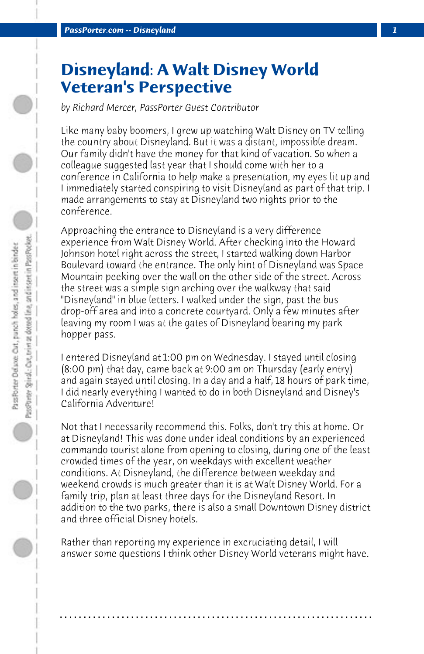# **Disneyland: A Walt Disney World Veteran's Perspective**

*by Richard Mercer, PassPorter Guest Contributor*

Like many baby boomers, I grew up watching Walt Disney on TV telling the country about Disneyland. But it was a distant, impossible dream. Our family didn't have the money for that kind of vacation. So when a colleague suggested last year that I should come with her to a conference in California to help make a presentation, my eyes lit up and I immediately started conspiring to visit Disneyland as part of that trip. I made arrangements to stay at Disneyland two nights prior to the conference.

Approaching the entrance to Disneyland is a very difference experience from Walt Disney World. After checking into the Howard Johnson hotel right across the street, I started walking down Harbor Boulevard toward the entrance. The only hint of Disneyland was Space Mountain peeking over the wall on the other side of the street. Across the street was a simple sign arching over the walkway that said "Disneyland" in blue letters. I walked under the sign, past the bus drop-off area and into a concrete courtyard. Only a few minutes after leaving my room I was at the gates of Disneyland bearing my park hopper pass.

I entered Disneyland at 1:00 pm on Wednesday. I stayed until closing (8:00 pm) that day, came back at 9:00 am on Thursday (early entry) and again stayed until closing. In a day and a half, 18 hours of park time, I did nearly everything I wanted to do in both Disneyland and Disney's California Adventure!

Not that I necessarily recommend this. Folks, don't try this at home. Or at Disneyland! This was done under ideal conditions by an experienced commando tourist alone from opening to closing, during one of the least crowded times of the year, on weekdays with excellent weather conditions. At Disneyland, the difference between weekday and weekend crowds is much greater than it is at Walt Disney World. For a family trip, plan at least three days for the Disneyland Resort. In addition to the two parks, there is also a small Downtown Disney district and three official Disney hotels.

Rather than reporting my experience in excruciating detail, I will answer some questions I think other Disney World veterans might have.

**. . . . . . . . . . . . . . . . . . . . . . . . . . . . . . . . . . . . . . . . . . . . . . . . . . . . . . . . . . . . . . . . . .**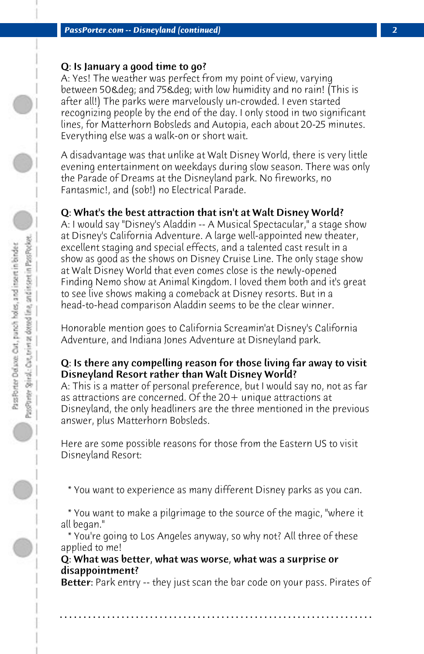## Q: Is January a good time to go?

A: Yes! The weather was perfect from my point of view, varying between 50& deg; and 75& deg; with low humidity and no rain! (This is after all!) The parks were marvelously un-crowded. I even started recognizing people by the end of the day. I only stood in two significant lines, for Matterhorn Bobsleds and Autopia, each about 20-25 minutes. Everything else was a walk-on or short wait.

A disadvantage was that unlike at Walt Disney World, there is very little evening entertainment on weekdays during slow season. There was only the Parade of Dreams at the Disneyland park. No fireworks, no Fantasmic!, and (sob!) no Electrical Parade.

## Q: What's the best attraction that isn't at Walt Disney World?

A: I would say "Disney's Aladdin -- A Musical Spectacular," a stage show at Disney's California Adventure. A large well-appointed new theater, excellent staging and special effects, and a talented cast result in a show as good as the shows on Disney Cruise Line. The only stage show at Walt Disney World that even comes close is the newly-opened Finding Nemo show at Animal Kingdom. I loved them both and it's great to see live shows making a comeback at Disney resorts. But in a head-to-head comparison Aladdin seems to be the clear winner.

Honorable mention goes to California Screamin'at Disney's California Adventure, and Indiana Jones Adventure at Disneyland park.

### Q: Is there any compelling reason for those living far away to visit Disneyland Resort rather than Walt Disney World?

A: This is a matter of personal preference, but I would say no, not as far as attractions are concerned. Of the 20+ unique attractions at Disneyland, the only headliners are the three mentioned in the previous answer, plus Matterhorn Bobsleds.

Here are some possible reasons for those from the Eastern US to visit Disneyland Resort:

\* You want to experience as many different Disney parks as you can.

 \* You want to make a pilgrimage to the source of the magic, "where it all began."

 \* You're going to Los Angeles anyway, so why not? All three of these applied to me!

#### Q: What was better, what was worse, what was a surprise or disappointment?

**Better:** Park entry -- they just scan the bar code on your pass. Pirates of

**. . . . . . . . . . . . . . . . . . . . . . . . . . . . . . . . . . . . . . . . . . . . . . . . . . . . . . . . . . . . . . . . . .**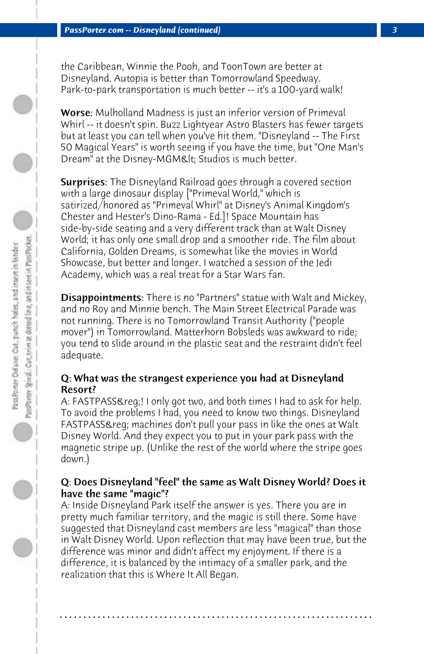the Caribbean, Winnie the Pooh, and ToonTown are better at Disneyland. Autopia is better than Tomorrowland Speedway. Park-to-park transportation is much better -- it's a 100-yard walk!

Worse: Mulholland Madness is just an inferior version of Primeval Whirl -- it doesn't spin. Buzz Lightyear Astro Blasters has fewer targets but at least you can tell when you've hit them. "Disneyland -- The First 50 Magical Years" is worth seeing if you have the time, but "One Man's Dream" at the Disney-MGM< Studios is much better.

**Surprises:** The Disneyland Railroad goes through a covered section with a large dinosaur display ["Primeval World," which is satirized/honored as "Primeval Whirl" at Disney's Animal Kingdom's Chester and Hester's Dino-Rama - Ed.]! Space Mountain has side-by-side seating and a very different track than at Walt Disney World; it has only one small drop and a smoother ride. The film about California, Golden Dreams, is somewhat like the movies in World Showcase, but better and longer. I watched a session of the Jedi Academy, which was a real treat for a Star Wars fan.

**Disappointments:** There is no "Partners" statue with Walt and Mickey, and no Roy and Minnie bench. The Main Street Electrical Parade was not running. There is no Tomorrowland Transit Authority ("people mover") in Tomorrowland. Matterhorn Bobsleds was awkward to ride; you tend to slide around in the plastic seat and the restraint didn't feel adequate.

## Q: What was the strangest experience you had at Disneyland Resort?

A: FASTPASS®! I only got two, and both times I had to ask for help. To avoid the problems I had, you need to know two things. Disneyland FASTPASS& reg; machines don't pull your pass in like the ones at Walt Disney World. And they expect you to put in your park pass with the magnetic stripe up. (Unlike the rest of the world where the stripe goes down.)

## Q: Does Disneyland "feel" the same as Walt Disney World? Does it have the same "magic"?

A: Inside Disneyland Park itself the answer is yes. There you are in pretty much familiar territory, and the magic is still there. Some have suggested that Disneyland cast members are less "magical" than those in Walt Disney World. Upon reflection that may have been true, but the difference was minor and didn't affect my enjoyment. If there is a difference, it is balanced by the intimacy of a smaller park, and the realization that this is Where It All Began.

**. . . . . . . . . . . . . . . . . . . . . . . . . . . . . . . . . . . . . . . . . . . . . . . . . . . . . . . . . . . . . . . . . .**